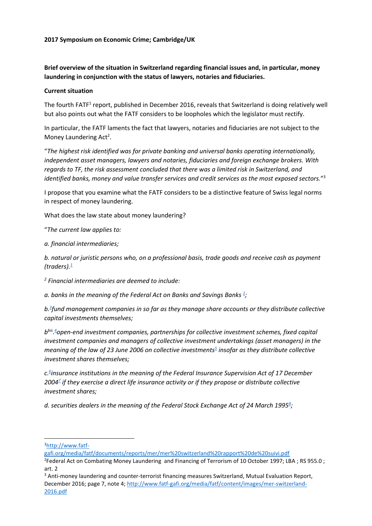## **2017 Symposium on Economic Crime; Cambridge/UK**

**Brief overview of the situation in Switzerland regarding financial issues and, in particular, money laundering in conjunction with the status of lawyers, notaries and fiduciaries.**

#### **Current situation**

The fourth FATF<sup>1</sup> report, published in December 2016, reveals that Switzerland is doing relatively well but also points out what the FATF considers to be loopholes which the legislator must rectify.

In particular, the FATF laments the fact that lawyers, notaries and fiduciaries are not subject to the Money Laundering Act<sup>2</sup>.

"*The highest risk identified was for private banking and universal banks operating internationally, independent asset managers, lawyers and notaries, fiduciaries and foreign exchange brokers. With regards to TF, the risk assessment concluded that there was a limited risk in Switzerland, and identified banks, money and value transfer services and credit services as the most exposed sectors.*" 3

I propose that you examine what the FATF considers to be a distinctive feature of Swiss legal norms in respect of money laundering.

What does the law state about money laundering?

"*The current law applies to:*

*a. financial intermediaries;*

*b. natural or juristic persons who, on a professional basis, trade goods and receive cash as payment*   $(traders).$  $(traders).$ <sup>1</sup>

*2 Financial intermediaries are deemed to include:*

*a. banks in the meaning of the Federal Act on Banks and Savings Bank[s](https://www.admin.ch/opc/fr/classified-compilation/19970427/index.html#fn-#a2-2) <sup>2</sup> ;*

*b[.](https://www.admin.ch/opc/fr/classified-compilation/19970427/index.html#fn-#a2-3)3 fund management companies in so far as they manage share accounts or they distribute collective capital investments themselves;*

*b bis [.](https://www.admin.ch/opc/fr/classified-compilation/19970427/index.html#fn-#a2-4) <sup>4</sup>open-end investment companies, partnerships for collective investment schemes, fixed capital investment companies and managers of collective investment undertakings (asset managers) in the meaning of the law of 23 June 2006 on collective investment[s](https://www.admin.ch/opc/fr/classified-compilation/19970427/index.html#fn-#a2-5)<sup>5</sup> insofar as they distribute collective investment shares themselves;*

*c[.](https://www.admin.ch/opc/fr/classified-compilation/19970427/index.html#fn-#a2-6)6 insurance institutions in the meaning of the Federal Insurance Supervision Act of 17 December 200[4](https://www.admin.ch/opc/fr/classified-compilation/19970427/index.html#fn-#a2-7)<sup>7</sup> if they exercise a direct life insurance activity or if they propose or distribute collective investment shares;*

*d. securities dealers in the meaning of the Federal Stock Exchange Act of 24 March 1995[8](https://www.admin.ch/opc/fr/classified-compilation/19970427/index.html#fn-#a2-8) ;*

 $\overline{\phantom{a}}$ 

[gafi.org/media/fatf/documents/reports/mer/mer%20switzerland%20rapport%20de%20suivi.pdf](http://www.fatf-gafi.org/media/fatf/documents/reports/mer/mer%20switzerland%20rapport%20de%20suivi.pdf)

<sup>1</sup>[http://www.fatf-](http://www.fatf-gafi.org/media/fatf/documents/reports/mer/mer%20switzerland%20rapport%20de%20suivi.pdf)

<sup>2</sup> Federal Act on Combating Money Laundering and Financing of Terrorism of 10 October 1997; LBA ; RS 955.0 ; art. 2

<sup>&</sup>lt;sup>3</sup> Anti-money laundering and counter-terrorist financing measures Switzerland, Mutual Evaluation Report, December 2016; page 7, note 4; [http://www.fatf-gafi.org/media/fatf/content/images/mer-switzerland-](http://www.fatf-gafi.org/media/fatf/content/images/mer-switzerland-2016.pdf)[2016.pdf](http://www.fatf-gafi.org/media/fatf/content/images/mer-switzerland-2016.pdf)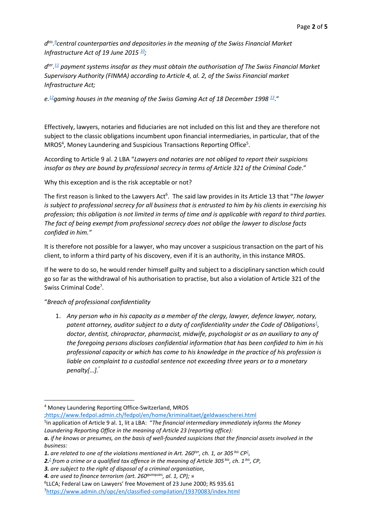*d bis [.](https://www.admin.ch/opc/fr/classified-compilation/19970427/index.html#fn-#a2-9) 9 central counterparties and depositories in the meaning of the Swiss Financial Market Infrastructure Act of 19 June 2015 [10](https://www.admin.ch/opc/fr/classified-compilation/19970427/index.html#fn-#a2-10);*

*d ter . [11](https://www.admin.ch/opc/fr/classified-compilation/19970427/index.html#fn-#a2-11) payment systems insofar as they must obtain the authorisation of The Swiss Financial Market Supervisory Authority (FINMA) according to Article 4, al. 2, of the Swiss Financial market Infrastructure Act;*

*e.[12](https://www.admin.ch/opc/fr/classified-compilation/19970427/index.html#fn-#a2-12)gaming houses in the meaning of the Swiss Gaming Act of 18 December 1998 [13](https://www.admin.ch/opc/fr/classified-compilation/19970427/index.html#fn-#a2-13)*."

Effectively, lawyers, notaries and fiduciaries are not included on this list and they are therefore not subject to the classic obligations incumbent upon financial intermediaries, in particular, that of the MROS<sup>4</sup>, Money Laundering and Suspicious Transactions Reporting Office<sup>5</sup>.

According to Article 9 al. 2 LBA "*Lawyers and notaries are not obliged to report their suspicions insofar as they are bound by professional secrecy in terms of Article 321 of the Criminal Code*."

Why this exception and is the risk acceptable or not?

The first reason is linked to the Lawyers Act<sup>6</sup>. The said law provides in its Article 13 that "*The lawyer is subject to professional secrecy for all business that is entrusted to him by his clients in exercising his profession; this obligation is not limited in terms of time and is applicable with regard to third parties. The fact of being exempt from professional secrecy does not oblige the lawyer to disclose facts confided in him."* 

It is therefore not possible for a lawyer, who may uncover a suspicious transaction on the part of his client, to inform a third party of his discovery, even if it is an authority, in this instance MROS.

If he were to do so, he would render himself guilty and subject to a disciplinary sanction which could go so far as the withdrawal of his authorisation to practise, but also a violation of Article 321 of the Swiss Criminal Code<sup>7</sup>.

# "*Breach of professional confidentiality*

 $\overline{\phantom{a}}$ 

1. *Any person who in his capacity as a member of the clergy, lawyer, defence lawyer, notary, patent attorney, auditor subject to a duty of confidentiality under the Code of Obligations<sup>1</sup> [,](https://www.admin.ch/opc/en/classified-compilation/19370083/index.html#fn-#a321-1) doctor, dentist, chiropractor, pharmacist, midwife, psychologist or as an auxiliary to any of the foregoing persons discloses confidential information that has been confided to him in his professional capacity or which has come to his knowledge in the practice of his profession is liable on complaint to a custodial sentence not exceeding three years or to a monetary penalty[…].* "

[;https://www.fedpol.admin.ch/fedpol/en/home/kriminalitaet/geldwaescherei.html](https://www.fedpol.admin.ch/fedpol/en/home/kriminalitaet/geldwaescherei.html)

<sup>4</sup> Money Laundering Reporting Office-Switzerland, MROS

<sup>5</sup> in application of Article 9 al. 1, lit a LBA: "*The financial intermediary immediately informs the Money Laundering Reporting Office in the meaning of Article 23 (reporting office):*

*a. if he knows or presumes, on the basis of well-founded suspicions that the financial assets involved in the business:*

*<sup>1.</sup> are related to one of the violations mentioned in Art. 260ter, ch. 1, or 305 bis CP[1](https://www.admin.ch/opc/fr/classified-compilation/19970427/index.html#fn-#a9-1) ,*

*<sup>2</sup>[.](https://www.admin.ch/opc/fr/classified-compilation/19970427/index.html#fn-#a9-2)<sup>2</sup> from a crime or a qualified tax offence in the meaning of Article 305 bis, ch. 1 bis, CP,*

*<sup>3.</sup> are subject to the right of disposal of a criminal organisation,*

*<sup>4.</sup> are used to finance terrorism (art. 260quinquies, al. 1, CP);* »

<sup>6</sup> LLCA; Federal Law on Lawyers' free Movement of 23 June 2000; RS 935.61

<sup>7</sup><https://www.admin.ch/opc/en/classified-compilation/19370083/index.html>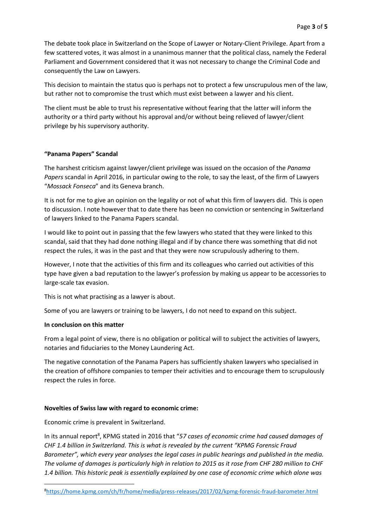The debate took place in Switzerland on the Scope of Lawyer or Notary-Client Privilege. Apart from a few scattered votes, it was almost in a unanimous manner that the political class, namely the Federal Parliament and Government considered that it was not necessary to change the Criminal Code and consequently the Law on Lawyers.

This decision to maintain the status quo is perhaps not to protect a few unscrupulous men of the law, but rather not to compromise the trust which must exist between a lawyer and his client.

The client must be able to trust his representative without fearing that the latter will inform the authority or a third party without his approval and/or without being relieved of lawyer/client privilege by his supervisory authority.

## **"Panama Papers" Scandal**

The harshest criticism against lawyer/client privilege was issued on the occasion of the *Panama Papers* scandal in April 2016, in particular owing to the role, to say the least, of the firm of Lawyers "*Mossack Fonseca*" and its Geneva branch.

It is not for me to give an opinion on the legality or not of what this firm of lawyers did. This is open to discussion. I note however that to date there has been no conviction or sentencing in Switzerland of lawyers linked to the Panama Papers scandal.

I would like to point out in passing that the few lawyers who stated that they were linked to this scandal, said that they had done nothing illegal and if by chance there was something that did not respect the rules, it was in the past and that they were now scrupulously adhering to them.

However, I note that the activities of this firm and its colleagues who carried out activities of this type have given a bad reputation to the lawyer's profession by making us appear to be accessories to large-scale tax evasion.

This is not what practising as a lawyer is about.

Some of you are lawyers or training to be lawyers, I do not need to expand on this subject.

#### **In conclusion on this matter**

 $\overline{a}$ 

From a legal point of view, there is no obligation or political will to subject the activities of lawyers, notaries and fiduciaries to the Money Laundering Act.

The negative connotation of the Panama Papers has sufficiently shaken lawyers who specialised in the creation of offshore companies to temper their activities and to encourage them to scrupulously respect the rules in force.

#### **Novelties of Swiss law with regard to economic crime:**

Economic crime is prevalent in Switzerland.

In its annual report<sup>8</sup>, KPMG stated in 2016 that "57 cases of economic crime had caused damages of *CHF 1.4 billion in Switzerland. This is what is revealed by the current "KPMG Forensic Fraud Barometer", which every year analyses the legal cases in public hearings and published in the media. The volume of damages is particularly high in relation to 2015 as it rose from CHF 280 million to CHF 1.4 billion. This historic peak is essentially explained by one case of economic crime which alone was* 

<sup>8</sup><https://home.kpmg.com/ch/fr/home/media/press-releases/2017/02/kpmg-forensic-fraud-barometer.html>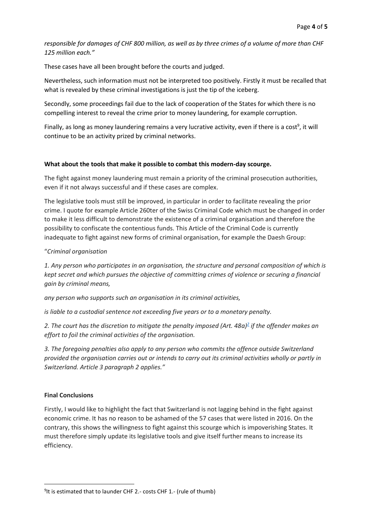*responsible for damages of CHF 800 million, as well as by three crimes of a volume of more than CHF 125 million each."*

These cases have all been brought before the courts and judged.

Nevertheless, such information must not be interpreted too positively. Firstly it must be recalled that what is revealed by these criminal investigations is just the tip of the iceberg.

Secondly, some proceedings fail due to the lack of cooperation of the States for which there is no compelling interest to reveal the crime prior to money laundering, for example corruption.

Finally, as long as money laundering remains a very lucrative activity, even if there is a cost<sup>9</sup>, it will continue to be an activity prized by criminal networks.

## **What about the tools that make it possible to combat this modern-day scourge.**

The fight against money laundering must remain a priority of the criminal prosecution authorities, even if it not always successful and if these cases are complex.

The legislative tools must still be improved, in particular in order to facilitate revealing the prior crime. I quote for example Article 260ter of the Swiss Criminal Code which must be changed in order to make it less difficult to demonstrate the existence of a criminal organisation and therefore the possibility to confiscate the contentious funds. This Article of the Criminal Code is currently inadequate to fight against new forms of criminal organisation, for example the Daesh Group:

## "*Criminal organisation*

*1. Any person who participates in an organisation, the structure and personal composition of which is kept secret and which pursues the objective of committing crimes of violence or securing a financial gain by criminal means,*

*any person who supports such an organisation in its criminal activities,*

*is liable to a custodial sentence not exceeding five years or to a monetary penalty.*

*2. The court has the discretion to mitigate the penalty imposed (Art. 48a[\)](https://www.admin.ch/opc/en/classified-compilation/19370083/index.html#fn-#a260ter-2) 2 if the offender makes an effort to foil the criminal activities of the organisation.*

*3. The foregoing penalties also apply to any person who commits the offence outside Switzerland provided the organisation carries out or intends to carry out its criminal activities wholly or partly in Switzerland. Article 3 paragraph 2 applies."*

# **Final Conclusions**

 $\overline{a}$ 

Firstly, I would like to highlight the fact that Switzerland is not lagging behind in the fight against economic crime. It has no reason to be ashamed of the 57 cases that were listed in 2016. On the contrary, this shows the willingness to fight against this scourge which is impoverishing States. It must therefore simply update its legislative tools and give itself further means to increase its efficiency.

<sup>&</sup>lt;sup>9</sup>It is estimated that to launder CHF 2.- costs CHF 1.- (rule of thumb)